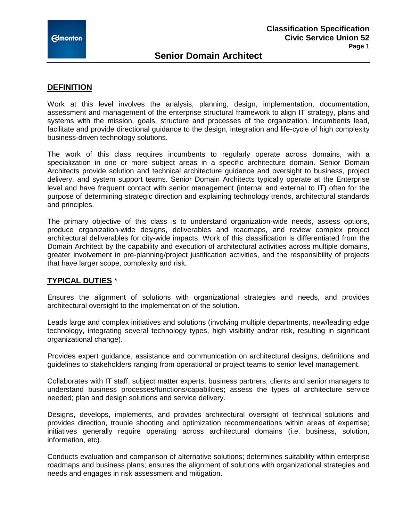## **Senior Domain Architect**

### **DEFINITION**

Work at this level involves the analysis, planning, design, implementation, documentation, assessment and management of the enterprise structural framework to align IT strategy, plans and systems with the mission, goals, structure and processes of the organization. Incumbents lead, facilitate and provide directional guidance to the design, integration and life-cycle of high complexity business-driven technology solutions.

The work of this class requires incumbents to regularly operate across domains, with a specialization in one or more subject areas in a specific architecture domain. Senior Domain Architects provide solution and technical architecture guidance and oversight to business, project delivery, and system support teams. Senior Domain Architects typically operate at the Enterprise level and have frequent contact with senior management (internal and external to IT) often for the purpose of determining strategic direction and explaining technology trends, architectural standards and principles.

The primary objective of this class is to understand organization-wide needs, assess options, produce organization-wide designs, deliverables and roadmaps, and review complex project architectural deliverables for city-wide impacts. Work of this classification is differentiated from the Domain Architect by the capability and execution of architectural activities across multiple domains, greater involvement in pre-planning/project justification activities, and the responsibility of projects that have larger scope, complexity and risk.

### **TYPICAL DUTIES** \*

Ensures the alignment of solutions with organizational strategies and needs, and provides architectural oversight to the implementation of the solution.

Leads large and complex initiatives and solutions (involving multiple departments, new/leading edge technology, integrating several technology types, high visibility and/or risk, resulting in significant organizational change).

Provides expert guidance, assistance and communication on architectural designs, definitions and guidelines to stakeholders ranging from operational or project teams to senior level management.

Collaborates with IT staff, subject matter experts, business partners, clients and senior managers to understand business processes/functions/capabilities; assess the types of architecture service needed; plan and design solutions and service delivery.

Designs, develops, implements, and provides architectural oversight of technical solutions and provides direction, trouble shooting and optimization recommendations within areas of expertise; initiatives generally require operating across architectural domains (i.e. business, solution, information, etc).

Conducts evaluation and comparison of alternative solutions; determines suitability within enterprise roadmaps and business plans; ensures the alignment of solutions with organizational strategies and needs and engages in risk assessment and mitigation.